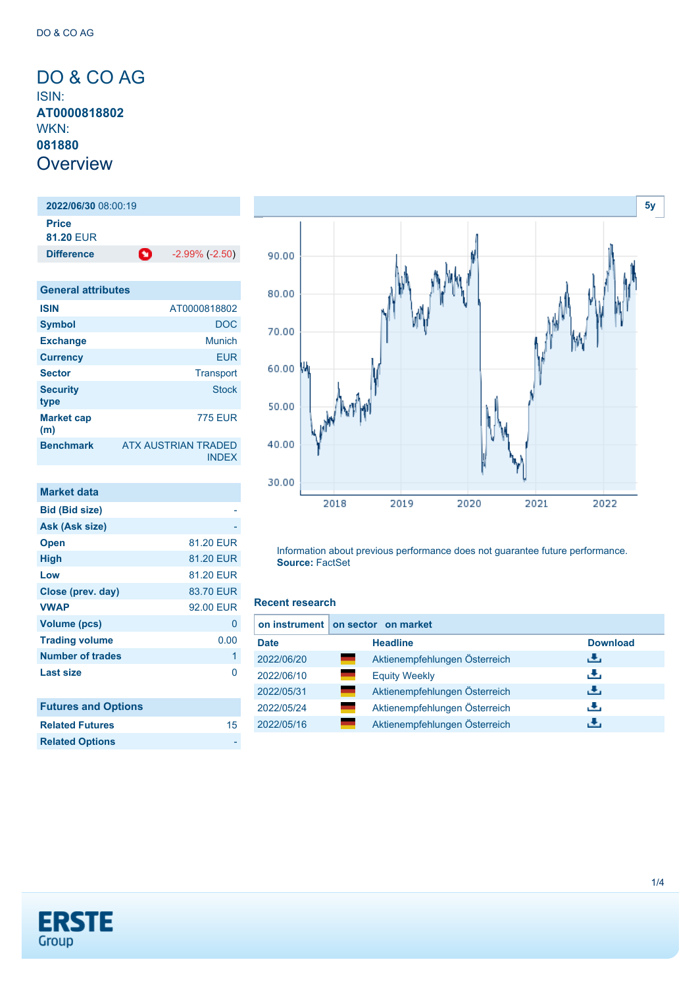<span id="page-0-0"></span>DO & CO AG ISIN: **AT0000818802** WKN: **081880 Overview** 

**2022/06/30** 08:00:19 **Price 81.20** EUR **Difference 1** -2.99% (-2.50) **General attributes**

| <b>ISIN</b>              | AT0000818802                               |
|--------------------------|--------------------------------------------|
| <b>Symbol</b>            | DOC                                        |
| <b>Exchange</b>          | Munich                                     |
| <b>Currency</b>          | EUR                                        |
| <b>Sector</b>            | Transport                                  |
| <b>Security</b><br>type  | <b>Stock</b>                               |
| <b>Market cap</b><br>(m) | <b>775 EUR</b>                             |
| <b>Benchmark</b>         | <b>ATX AUSTRIAN TRADED</b><br><b>INDEX</b> |

| Market data                |           |
|----------------------------|-----------|
| <b>Bid (Bid size)</b>      |           |
| Ask (Ask size)             |           |
| <b>Open</b>                | 81.20 EUR |
| High                       | 81.20 EUR |
| Low                        | 81.20 EUR |
| Close (prev. day)          | 83.70 EUR |
| <b>VWAP</b>                | 92.00 EUR |
| <b>Volume (pcs)</b>        | 0         |
| <b>Trading volume</b>      | 0.00      |
| Number of trades           | 1         |
| <b>Last size</b>           | n         |
|                            |           |
| <b>Futures and Options</b> |           |
| <b>Related Futures</b>     | 15        |



Information about previous performance does not guarantee future performance. **Source:** FactSet

#### **Recent research**

|             | on instrument   on sector on market |                 |
|-------------|-------------------------------------|-----------------|
| <b>Date</b> | <b>Headline</b>                     | <b>Download</b> |
| 2022/06/20  | Aktienempfehlungen Österreich       | رالى            |
| 2022/06/10  | <b>Equity Weekly</b>                | æ,              |
| 2022/05/31  | Aktienempfehlungen Österreich       | رالى            |
| 2022/05/24  | Aktienempfehlungen Österreich       | æ,              |
| 2022/05/16  | Aktienempfehlungen Österreich       | υЧ,             |



**Related Options**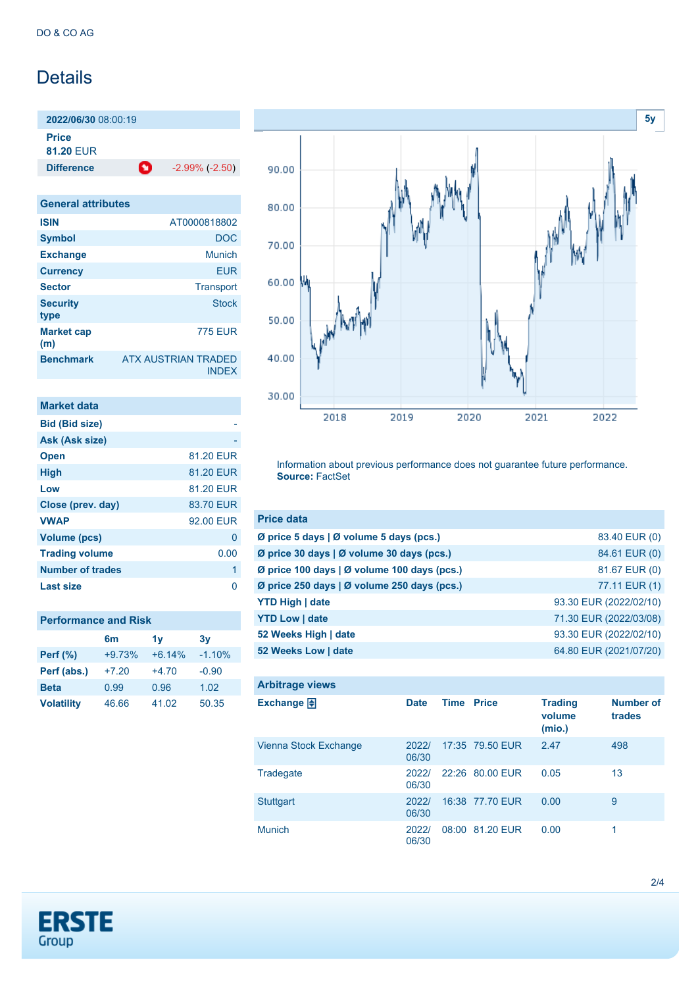## **Details**

**2022/06/30** 08:00:19 **Price**

**81.20** EUR

**Difference** -2.99% (-2.50)

| <b>General attributes</b> |                                            |
|---------------------------|--------------------------------------------|
| <b>ISIN</b>               | AT0000818802                               |
| <b>Symbol</b>             | <b>DOC</b>                                 |
| <b>Exchange</b>           | Munich                                     |
| <b>Currency</b>           | <b>EUR</b>                                 |
| <b>Sector</b>             | <b>Transport</b>                           |
| <b>Security</b><br>type   | Stock                                      |
| <b>Market cap</b><br>(m)  | 775 FUR                                    |
| <b>Benchmark</b>          | <b>ATX AUSTRIAN TRADED</b><br><b>INDEX</b> |

| <b>Market data</b>    |           |
|-----------------------|-----------|
| <b>Bid (Bid size)</b> |           |
| Ask (Ask size)        |           |
| <b>Open</b>           | 81.20 EUR |
| <b>High</b>           | 81.20 EUR |
| Low                   | 81.20 EUR |
| Close (prev. day)     | 83.70 EUR |
| <b>VWAP</b>           | 92.00 EUR |
| Volume (pcs)          | 0         |
| <b>Trading volume</b> | 0.00      |
| Number of trades      | 1         |
| <b>Last size</b>      |           |

| <b>Performance and Risk</b> |          |          |          |  |
|-----------------------------|----------|----------|----------|--|
|                             | 6m       | 1v       | 3v       |  |
| <b>Perf</b> (%)             | $+9.73%$ | $+6.14%$ | $-1.10%$ |  |
| Perf (abs.)                 | $+7.20$  | $+4.70$  | $-0.90$  |  |
| <b>Beta</b>                 | 0.99     | 0.96     | 1.02     |  |
| <b>Volatility</b>           | 46.66    | 41.02    | 50.35    |  |



Information about previous performance does not guarantee future performance. **Source:** FactSet

| <b>Price data</b>                                 |                        |
|---------------------------------------------------|------------------------|
| Ø price 5 days   Ø volume 5 days (pcs.)           | 83.40 EUR (0)          |
| Ø price 30 days   Ø volume 30 days (pcs.)         | 84.61 EUR (0)          |
| Ø price 100 days   Ø volume 100 days (pcs.)       | 81.67 EUR (0)          |
| Ø price 250 days $\vert$ Ø volume 250 days (pcs.) | 77.11 EUR (1)          |
| <b>YTD High   date</b>                            | 93.30 EUR (2022/02/10) |
| <b>YTD Low   date</b>                             | 71.30 EUR (2022/03/08) |
| 52 Weeks High   date                              | 93.30 EUR (2022/02/10) |
| 52 Weeks Low   date                               | 64.80 EUR (2021/07/20) |

| <b>Arbitrage views</b> |                |             |                 |                                    |                            |
|------------------------|----------------|-------------|-----------------|------------------------------------|----------------------------|
| Exchange $\Box$        | <b>Date</b>    | <b>Time</b> | <b>Price</b>    | <b>Trading</b><br>volume<br>(mio.) | <b>Number of</b><br>trades |
| Vienna Stock Exchange  | 2022/<br>06/30 |             | 17:35 79.50 EUR | 2.47                               | 498                        |
| Tradegate              | 2022/<br>06/30 |             | 22:26 80.00 EUR | 0.05                               | 13                         |
| <b>Stuttgart</b>       | 2022/<br>06/30 |             | 16:38 77.70 EUR | 0.00                               | 9                          |
| <b>Munich</b>          | 2022/<br>06/30 |             | 08:00 81.20 EUR | 0.00                               | 1                          |

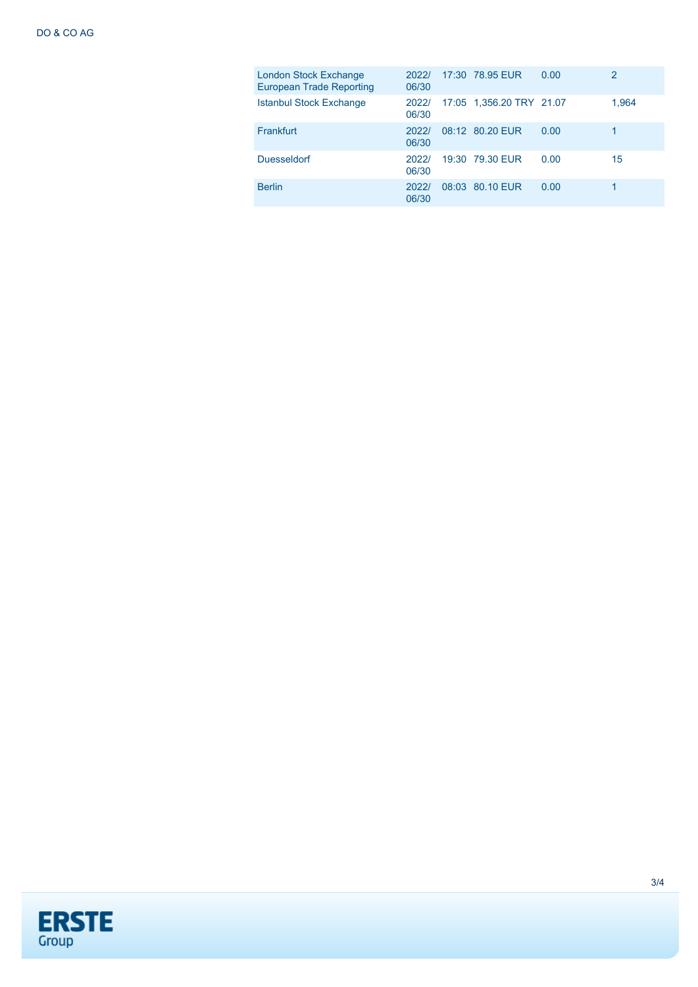| London Stock Exchange<br><b>European Trade Reporting</b> | 2022/<br>06/30 | 17:30 78.95 EUR          | 0.00 | $\overline{2}$ |
|----------------------------------------------------------|----------------|--------------------------|------|----------------|
| <b>Istanbul Stock Exchange</b>                           | 2022/<br>06/30 | 17:05 1,356.20 TRY 21.07 |      | 1,964          |
| <b>Frankfurt</b>                                         | 2022/<br>06/30 | 08:12 80.20 EUR          | 0.00 |                |
| <b>Duesseldorf</b>                                       | 2022/<br>06/30 | 19:30 79.30 EUR          | 0.00 | 15             |
| <b>Berlin</b>                                            | 2022/<br>06/30 | 08:03 80.10 EUR          | 0.00 |                |